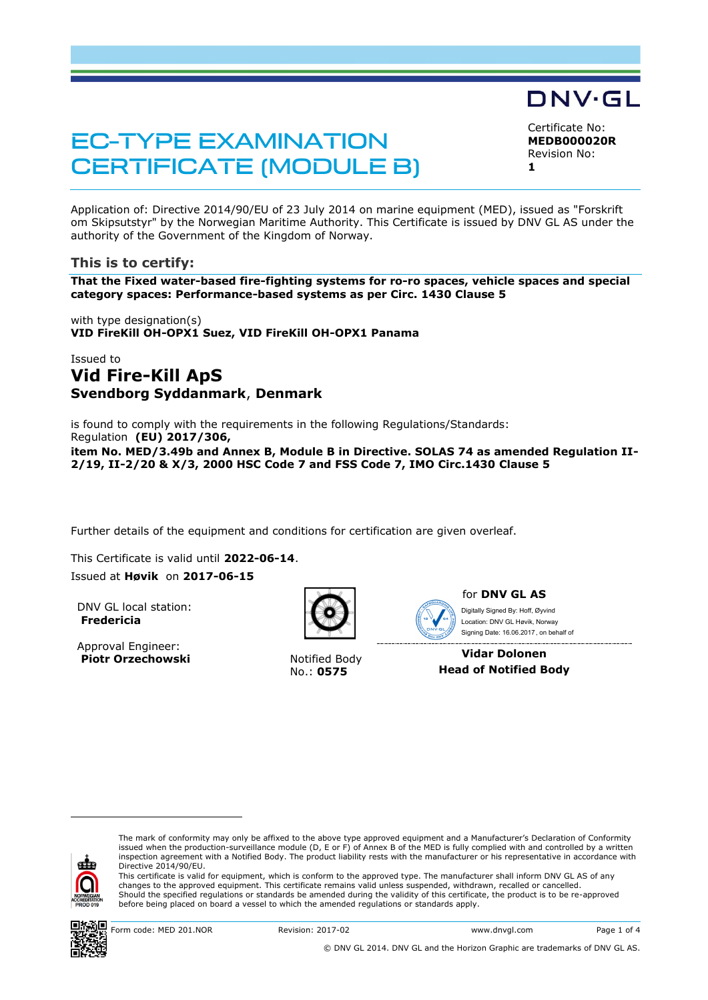# **EC-TYPE EXAMINATION CERTIFICATE (MODULE B)**

Certificate No: **MEDB000020R**

DNV·GL

Revision No: **1**

Application of: Directive 2014/90/EU of 23 July 2014 on marine equipment (MED), issued as "Forskrift om Skipsutstyr" by the Norwegian Maritime Authority. This Certificate is issued by DNV GL AS under the authority of the Government of the Kingdom of Norway.

## **This is to certify:**

**That the Fixed water-based fire-fighting systems for ro-ro spaces, vehicle spaces and special category spaces: Performance-based systems as per Circ. 1430 Clause 5**

with type designation(s) **VID FireKill OH-OPX1 Suez, VID FireKill OH-OPX1 Panama**

# Issued to **Vid Fire-Kill ApS Svendborg Syddanmark**, **Denmark**

is found to comply with the requirements in the following Regulations/Standards: Regulation **(EU) 2017/306, item No. MED/3.49b and Annex B, Module B in Directive. SOLAS 74 as amended Regulation II-2/19, II-2/20 & X/3, 2000 HSC Code 7 and FSS Code 7, IMO Circ.1430 Clause 5**

Further details of the equipment and conditions for certification are given overleaf.

This Certificate is valid until **2022-06-14**.

Issued at **Høvik** on **2017-06-15**

DNV GL local station: **Fredericia**

Approval Engineer: **Piotr Orzechowski** Notified Body



No.: **0575**



#### for **DNV GL AS** Signing Date: 16.06.2017 , on behalf ofDigitally Signed By: Hoff, Øyvind Location: DNV GL Høvik, Norway

**Vidar Dolonen Head of Notified Body**



ı

The mark of conformity may only be affixed to the above type approved equipment and a Manufacturer's Declaration of Conformity<br>issued when the production-surveillance module (D, E or F) of Annex B of the MED is fully compl inspection agreement with a Notified Body. The product liability rests with the manufacturer or his representative in accordance with Directive 2014/90/EU.

This certificate is valid for equipment, which is conform to the approved type. The manufacturer shall inform DNV GL AS of any changes to the approved equipment. This certificate remains valid unless suspended, withdrawn, recalled or cancelled. Should the specified regulations or standards be amended during the validity of this certificate, the product is to be re-approved before being placed on board a vessel to which the amended regulations or standards apply.

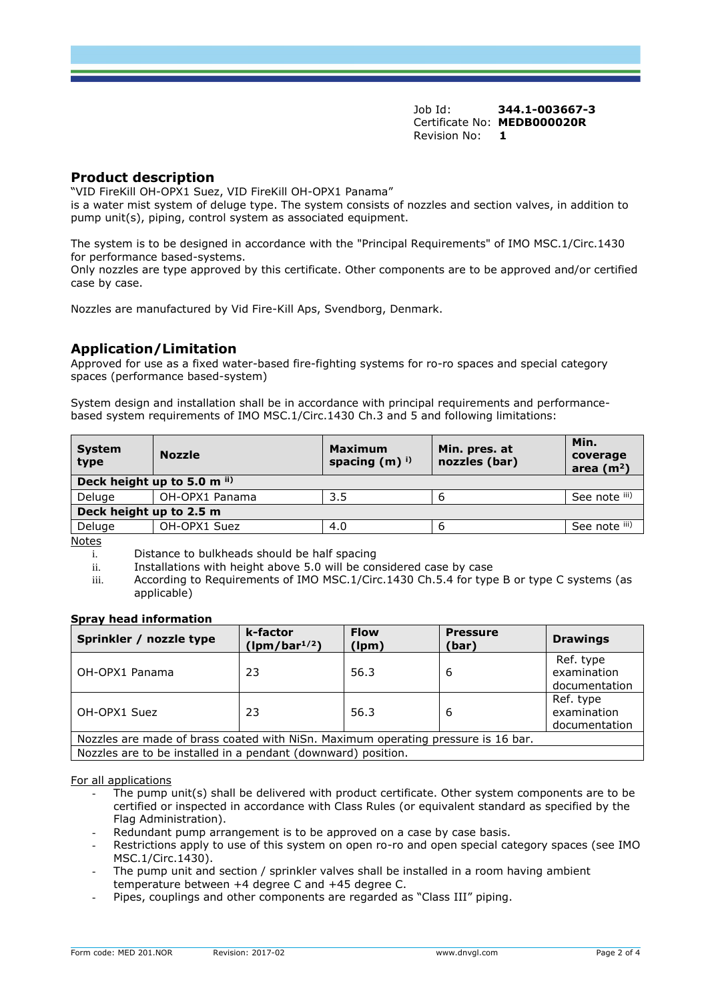Job Id: **344.1-003667-3** Certificate No: **MEDB000020R** Revision No: **1**

#### **Product description**

"VID FireKill OH-OPX1 Suez, VID FireKill OH-OPX1 Panama"

is a water mist system of deluge type. The system consists of nozzles and section valves, in addition to pump unit(s), piping, control system as associated equipment.

The system is to be designed in accordance with the "Principal Requirements" of IMO MSC.1/Circ.1430 for performance based-systems.

Only nozzles are type approved by this certificate. Other components are to be approved and/or certified case by case.

Nozzles are manufactured by Vid Fire-Kill Aps, Svendborg, Denmark.

## **Application/Limitation**

Approved for use as a fixed water-based fire-fighting systems for ro-ro spaces and special category spaces (performance based-system)

System design and installation shall be in accordance with principal requirements and performancebased system requirements of IMO MSC.1/Circ.1430 Ch.3 and 5 and following limitations:

| <b>System</b><br>type       | <b>Nozzle</b>  | <b>Maximum</b><br>spacing $(m)$ <sup>i)</sup> | Min. pres. at<br>nozzles (bar) | Min.<br>coverage<br>area $(m2)$ |  |  |
|-----------------------------|----------------|-----------------------------------------------|--------------------------------|---------------------------------|--|--|
| Deck height up to 5.0 m ii) |                |                                               |                                |                                 |  |  |
| Deluge                      | OH-OPX1 Panama | 3.5                                           |                                | See note iii)                   |  |  |
| Deck height up to 2.5 m     |                |                                               |                                |                                 |  |  |
| Deluge                      | OH-OPX1 Suez   | 4.0                                           | о                              | See note iii)                   |  |  |
| $N$ $\sim$                  |                |                                               |                                |                                 |  |  |

Notes

 $\overline{a}$  Distance to bulkheads should be half spacing

ii. Installations with height above 5.0 will be considered case by case

iii. According to Requirements of IMO MSC.1/Circ.1430 Ch.5.4 for type B or type C systems (as applicable)

#### **Spray head information**

| Sprinkler / nozzle type                                                           | k-factor<br>$(lpm/bar^{1/2})$ | <b>Flow</b><br>(lpm) | <b>Pressure</b><br>(bar) | <b>Drawings</b>                           |  |  |  |
|-----------------------------------------------------------------------------------|-------------------------------|----------------------|--------------------------|-------------------------------------------|--|--|--|
| OH-OPX1 Panama                                                                    | 23                            | 56.3                 | 6                        | Ref. type<br>examination<br>documentation |  |  |  |
| OH-OPX1 Suez                                                                      | 23                            | 56.3                 | 6                        | Ref. type<br>examination<br>documentation |  |  |  |
| Nozzles are made of brass coated with NiSn. Maximum operating pressure is 16 bar. |                               |                      |                          |                                           |  |  |  |
| Nozzles are to be installed in a pendant (downward) position.                     |                               |                      |                          |                                           |  |  |  |

For all applications

- The pump unit(s) shall be delivered with product certificate. Other system components are to be certified or inspected in accordance with Class Rules (or equivalent standard as specified by the Flag Administration).
- Redundant pump arrangement is to be approved on a case by case basis.
- Restrictions apply to use of this system on open ro-ro and open special category spaces (see IMO MSC.1/Circ.1430).
- The pump unit and section / sprinkler valves shall be installed in a room having ambient temperature between +4 degree C and +45 degree C.
- Pipes, couplings and other components are regarded as "Class III" piping.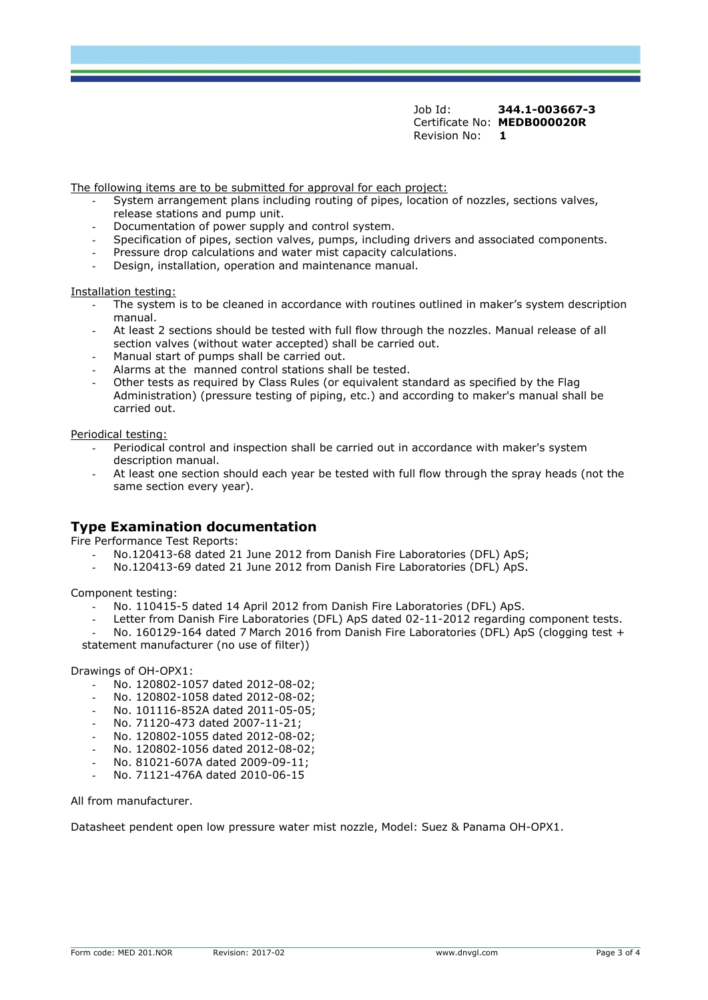Job Id: **344.1-003667-3** Certificate No: **MEDB000020R** Revision No: **1**

The following items are to be submitted for approval for each project:

- System arrangement plans including routing of pipes, location of nozzles, sections valves, release stations and pump unit.
- Documentation of power supply and control system.
- Specification of pipes, section valves, pumps, including drivers and associated components.
- Pressure drop calculations and water mist capacity calculations.
- Design, installation, operation and maintenance manual.

Installation testing:

- The system is to be cleaned in accordance with routines outlined in maker's system description manual.
- At least 2 sections should be tested with full flow through the nozzles. Manual release of all section valves (without water accepted) shall be carried out.
- Manual start of pumps shall be carried out.
- Alarms at the manned control stations shall be tested.
- Other tests as required by Class Rules (or equivalent standard as specified by the Flag Administration) (pressure testing of piping, etc.) and according to maker's manual shall be carried out.

Periodical testing:

- Periodical control and inspection shall be carried out in accordance with maker's system description manual.
- At least one section should each year be tested with full flow through the spray heads (not the same section every year).

#### **Type Examination documentation**

Fire Performance Test Reports:

- No.120413-68 dated 21 June 2012 from Danish Fire Laboratories (DFL) ApS;
- No.120413-69 dated 21 June 2012 from Danish Fire Laboratories (DFL) ApS.

Component testing:

- No. 110415-5 dated 14 April 2012 from Danish Fire Laboratories (DFL) ApS.
- Letter from Danish Fire Laboratories (DFL) ApS dated 02-11-2012 regarding component tests.

No. 160129-164 dated 7 March 2016 from Danish Fire Laboratories (DFL) ApS (clogging test + statement manufacturer (no use of filter))

Drawings of OH-OPX1:

- No. 120802-1057 dated 2012-08-02;
- No. 120802-1058 dated 2012-08-02;
- No. 101116-852A dated 2011-05-05;
- No. 71120-473 dated 2007-11-21;
- No. 120802-1055 dated 2012-08-02;
- No. 120802-1056 dated 2012-08-02;
- No. 81021-607A dated 2009-09-11;
- No. 71121-476A dated 2010-06-15

All from manufacturer.

Datasheet pendent open low pressure water mist nozzle, Model: Suez & Panama OH-OPX1.